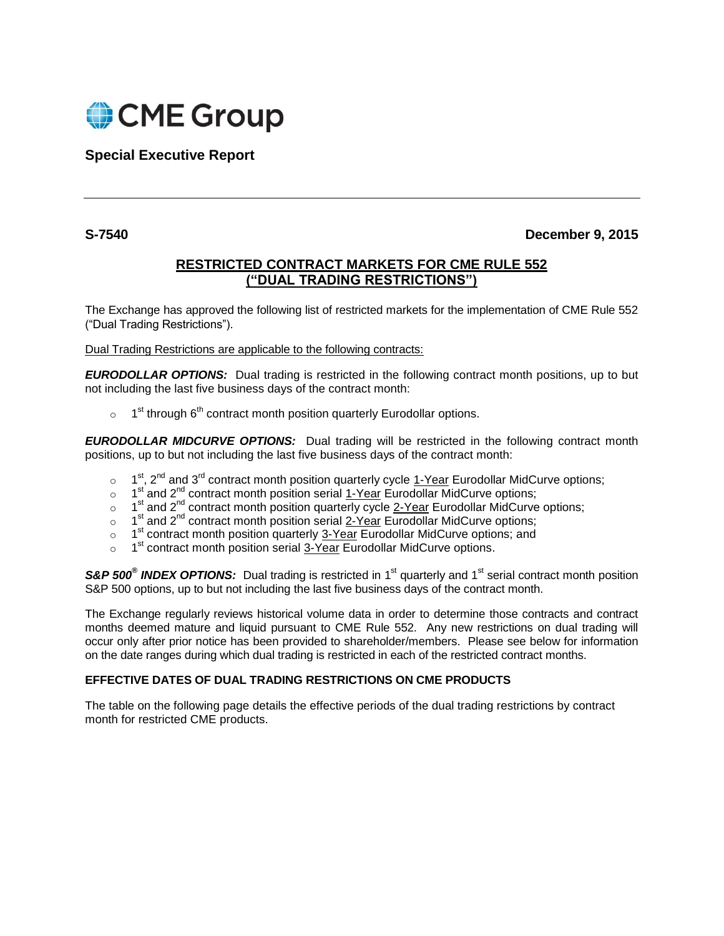

**Special Executive Report**

**S-7540 December 9, 2015**

## **RESTRICTED CONTRACT MARKETS FOR CME RULE 552 ("DUAL TRADING RESTRICTIONS")**

The Exchange has approved the following list of restricted markets for the implementation of CME Rule 552 ("Dual Trading Restrictions").

Dual Trading Restrictions are applicable to the following contracts:

*EURODOLLAR OPTIONS:*Dual trading is restricted in the following contract month positions, up to but not including the last five business days of the contract month:

 $\circ$  1<sup>st</sup> through 6<sup>th</sup> contract month position quarterly Eurodollar options.

*EURODOLLAR MIDCURVE OPTIONS:*Dual trading will be restricted in the following contract month positions, up to but not including the last five business days of the contract month:

- $\circ$  1<sup>st</sup>, 2<sup>nd</sup> and 3<sup>rd</sup> contract month position quarterly cycle 1-Year Eurodollar MidCurve options;
- $\circ$  1<sup>st</sup> and 2<sup>nd</sup> contract month position serial 1-Year Eurodollar MidCurve options;
- o 1<sup>st</sup> and 2<sup>nd</sup> contract month position quarterly cycle 2-Year Eurodollar MidCurve options;
- $\circ$  1<sup>st</sup> and 2<sup>nd</sup> contract month position serial 2-Year Eurodollar MidCurve options;
- $\circ$  1<sup>st</sup> contract month position quarterly 3-Year Eurodollar MidCurve options; and
- $\circ$  1<sup>st</sup> contract month position serial  $3$ -Year Eurodollar MidCurve options.

S&P 500<sup>®</sup> INDEX OPTIONS: Dual trading is restricted in 1<sup>st</sup> quarterly and 1<sup>st</sup> serial contract month position S&P 500 options, up to but not including the last five business days of the contract month.

The Exchange regularly reviews historical volume data in order to determine those contracts and contract months deemed mature and liquid pursuant to CME Rule 552. Any new restrictions on dual trading will occur only after prior notice has been provided to shareholder/members. Please see below for information on the date ranges during which dual trading is restricted in each of the restricted contract months.

## **EFFECTIVE DATES OF DUAL TRADING RESTRICTIONS ON CME PRODUCTS**

The table on the following page details the effective periods of the dual trading restrictions by contract month for restricted CME products.